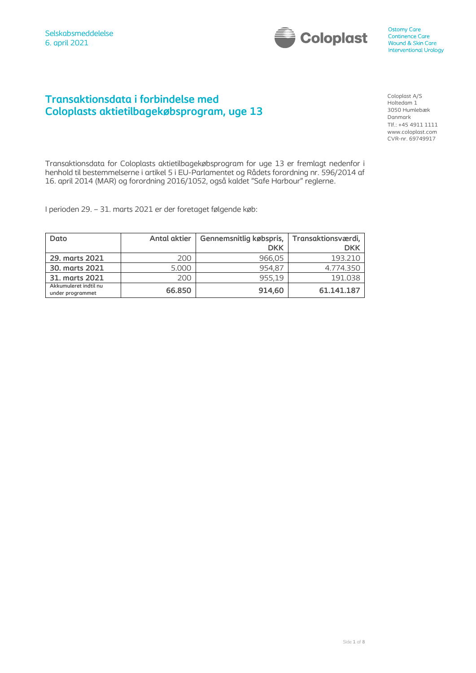

## **Transaktionsdata i forbindelse med Coloplasts aktietilbagekøbsprogram, uge 13**

Coloplast A/S Holtedam 1 3050 Humlebæk Danmark Tlf.: +45 4911 1111 www.coloplast.com CVR-nr. 69749917

Transaktionsdata for Coloplasts aktietilbagekøbsprogram for uge 13 er fremlagt nedenfor i henhold til bestemmelserne i artikel 5 i EU-Parlamentet og Rådets forordning nr. 596/2014 af 16. april 2014 (MAR) og forordning 2016/1052, også kaldet "Safe Harbour" reglerne.

I perioden 29. – 31. marts 2021 er der foretaget følgende køb:

| Dato                                      | <b>Antal aktier</b> | Gennemsnitlig købspris, | Transaktionsværdi, |
|-------------------------------------------|---------------------|-------------------------|--------------------|
|                                           |                     | <b>DKK</b>              | <b>DKK</b>         |
| 29. marts 2021                            | 200                 | 966,05                  | 193.210            |
| 30. marts 2021                            | 5.000               | 954,87                  | 4.774.350          |
| 31. marts 2021                            | 200                 | 955.19                  | 191.038            |
| Akkumuleret indtil nu<br>under programmet | 66.850              | 914,60                  | 61.141.187         |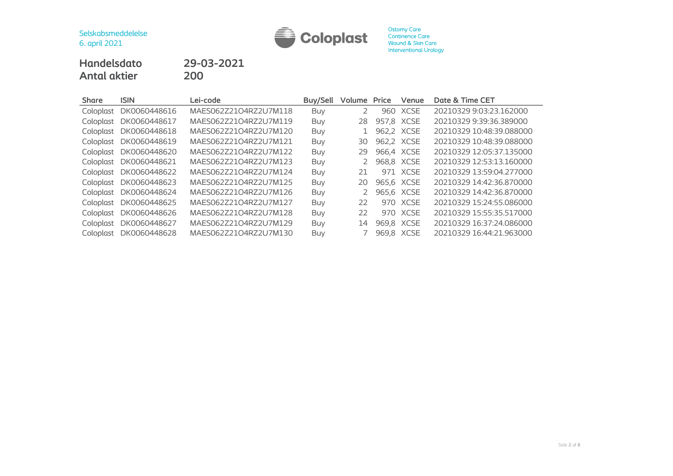

**Handelsdato 29-03-2021 Antal aktier** 

| <b>Share</b> | <b>ISIN</b>  | Lei-code              | <b>Buy/Sell</b> | Volume | Price      | Venue       | Date & Time CET          |
|--------------|--------------|-----------------------|-----------------|--------|------------|-------------|--------------------------|
| Coloplast    | DK0060448616 | MAES062Z21O4RZ2U7M118 | <b>Buy</b>      |        | 960        | <b>XCSE</b> | 20210329 9:03:23.162000  |
| Coloplast    | DK0060448617 | MAES062Z21O4RZ2U7M119 | Buy             | 28     | 957,8 XCSE |             | 20210329 9:39:36.389000  |
| Coloplast    | DK0060448618 | MAES062Z21O4RZ2U7M120 | Buy             |        |            | 962,2 XCSE  | 20210329 10:48:39.088000 |
| Coloplast    | DK0060448619 | MAES062Z21O4RZ2U7M121 | Buy             | 30     |            | 962,2 XCSE  | 20210329 10:48:39.088000 |
| Coloplast    | DK0060448620 | MAES062Z21O4RZ2U7M122 | <b>Buy</b>      | 29     |            | 966.4 XCSE  | 20210329 12:05:37.135000 |
| Coloplast    | DK0060448621 | MAES062Z21O4RZ2U7M123 | Buy             | 2      |            | 968,8 XCSE  | 20210329 12:53:13.160000 |
| Coloplast    | DK0060448622 | MAES062Z21O4RZ2U7M124 | Buy             | 21     |            | 971 XCSE    | 20210329 13:59:04.277000 |
| Coloplast    | DK0060448623 | MAES062Z21O4RZ2U7M125 | Buy             | 20     |            | 965,6 XCSE  | 20210329 14:42:36.870000 |
| Coloplast    | DK0060448624 | MAES062Z21O4RZ2U7M126 | <b>Buy</b>      | 2      |            | 965,6 XCSE  | 20210329 14:42:36.870000 |
| Coloplast    | DK0060448625 | MAES062Z21O4RZ2U7M127 | <b>Buy</b>      | 22     | 970        | XCSE        | 20210329 15:24:55.086000 |
| Coloplast    | DK0060448626 | MAES062Z21O4RZ2U7M128 | <b>Buy</b>      | 22     | 970        | XCSE        | 20210329 15:55:35.517000 |
| Coloplast    | DK0060448627 | MAES062Z21O4RZ2U7M129 | <b>Buy</b>      | 14     |            | 969,8 XCSE  | 20210329 16:37:24.086000 |
| Coloplast    | DK0060448628 | MAES062Z21O4RZ2U7M130 | <b>Buy</b>      |        |            | 969,8 XCSE  | 20210329 16:44:21.963000 |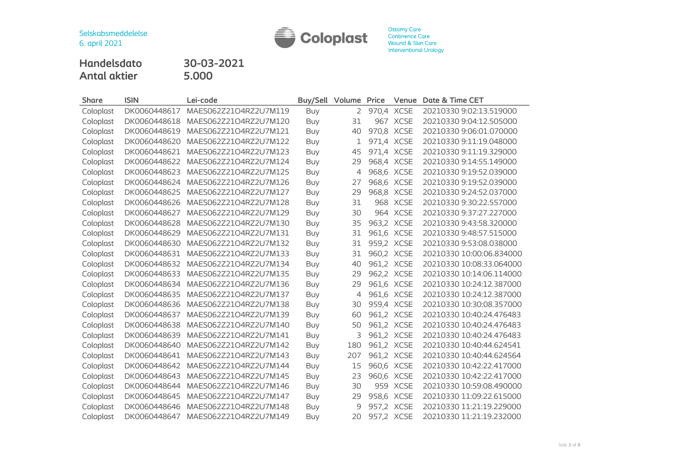

**Handelsdato 30-03-2021 Antal aktier 5.000**

| <b>Share</b> | <b>ISIN</b>  | Lei-code              | Buy/Sell   | Volume | Price | Venue      | Date & Time CET          |
|--------------|--------------|-----------------------|------------|--------|-------|------------|--------------------------|
| Coloplast    | DK0060448617 | MAES062Z21O4RZ2U7M119 | Buy        | 2      |       | 970,4 XCSE | 20210330 9:02:13.519000  |
| Coloplast    | DK0060448618 | MAES062Z21O4RZ2U7M120 | Buy        | 31     |       | 967 XCSE   | 20210330 9:04:12.505000  |
| Coloplast    | DK0060448619 | MAES062Z21O4RZ2U7M121 | <b>Buy</b> | 40     |       | 970,8 XCSE | 20210330 9:06:01.070000  |
| Coloplast    | DK0060448620 | MAES062Z21O4RZ2U7M122 | Buy        | 1      |       | 971,4 XCSE | 20210330 9:11:19.048000  |
| Coloplast    | DK0060448621 | MAES062Z21O4RZ2U7M123 | <b>Buy</b> | 45     |       | 971,4 XCSE | 20210330 9:11:19.329000  |
| Coloplast    | DK0060448622 | MAES062Z21O4RZ2U7M124 | Buy        | 29     |       | 968,4 XCSE | 20210330 9:14:55.149000  |
| Coloplast    | DK0060448623 | MAES062Z21O4RZ2U7M125 | Buy        | 4      |       | 968,6 XCSE | 20210330 9:19:52.039000  |
| Coloplast    | DK0060448624 | MAES062Z21O4RZ2U7M126 | <b>Buy</b> | 27     |       | 968,6 XCSE | 20210330 9:19:52.039000  |
| Coloplast    | DK0060448625 | MAES062Z21O4RZ2U7M127 | Buy        | 29     |       | 968,8 XCSE | 20210330 9:24:52.037000  |
| Coloplast    | DK0060448626 | MAES062Z21O4RZ2U7M128 | Buy        | 31     |       | 968 XCSE   | 20210330 9:30:22.557000  |
| Coloplast    | DK0060448627 | MAES062Z21O4RZ2U7M129 | <b>Buy</b> | 30     |       | 964 XCSE   | 20210330 9:37:27.227000  |
| Coloplast    | DK0060448628 | MAES062Z21O4RZ2U7M130 | Buy        | 35     |       | 963,2 XCSE | 20210330 9:43:58.320000  |
| Coloplast    | DK0060448629 | MAES062Z21O4RZ2U7M131 | Buy        | 31     |       | 961,6 XCSE | 20210330 9:48:57.515000  |
| Coloplast    | DK0060448630 | MAES062Z21O4RZ2U7M132 | Buy        | 31     |       | 959,2 XCSE | 20210330 9:53:08.038000  |
| Coloplast    | DK0060448631 | MAES062Z21O4RZ2U7M133 | Buy        | 31     |       | 960,2 XCSE | 20210330 10:00:06.834000 |
| Coloplast    | DK0060448632 | MAES062Z21O4RZ2U7M134 | Buy        | 40     |       | 961,2 XCSE | 20210330 10:08:33.064000 |
| Coloplast    | DK0060448633 | MAES062Z21O4RZ2U7M135 | Buy        | 29     |       | 962,2 XCSE | 20210330 10:14:06.114000 |
| Coloplast    | DK0060448634 | MAES062Z21O4RZ2U7M136 | Buy        | 29     |       | 961,6 XCSE | 20210330 10:24:12.387000 |
| Coloplast    | DK0060448635 | MAES062Z21O4RZ2U7M137 | <b>Buy</b> | 4      |       | 961,6 XCSE | 20210330 10:24:12.387000 |
| Coloplast    | DK0060448636 | MAES062Z21O4RZ2U7M138 | Buy        | 30     |       | 959,4 XCSE | 20210330 10:30:08.357000 |
| Coloplast    | DK0060448637 | MAES062Z21O4RZ2U7M139 | <b>Buy</b> | 60     |       | 961,2 XCSE | 20210330 10:40:24.476483 |
| Coloplast    | DK0060448638 | MAES062Z21O4RZ2U7M140 | <b>Buy</b> | 50     |       | 961,2 XCSE | 20210330 10:40:24.476483 |
| Coloplast    | DK0060448639 | MAES062Z21O4RZ2U7M141 | Buy        | 3      |       | 961,2 XCSE | 20210330 10:40:24.476483 |
| Coloplast    | DK0060448640 | MAES062Z21O4RZ2U7M142 | Buy        | 180    |       | 961,2 XCSE | 20210330 10:40:44.624541 |
| Coloplast    | DK0060448641 | MAES062Z21O4RZ2U7M143 | Buy        | 207    |       | 961,2 XCSE | 20210330 10:40:44.624564 |
| Coloplast    | DK0060448642 | MAES062Z21O4RZ2U7M144 | <b>Buy</b> | 15     |       | 960,6 XCSE | 20210330 10:42:22.417000 |
| Coloplast    | DK0060448643 | MAES062Z21O4RZ2U7M145 | <b>Buy</b> | 23     |       | 960,6 XCSE | 20210330 10:42:22.417000 |
| Coloplast    | DK0060448644 | MAES062Z21O4RZ2U7M146 | Buy        | 30     |       | 959 XCSE   | 20210330 10:59:08.490000 |
| Coloplast    | DK0060448645 | MAES062Z21O4RZ2U7M147 | <b>Buy</b> | 29     |       | 958,6 XCSE | 20210330 11:09:22.615000 |
| Coloplast    | DK0060448646 | MAES062Z21O4RZ2U7M148 | <b>Buy</b> | 9      |       | 957,2 XCSE | 20210330 11:21:19.229000 |
| Coloplast    | DK0060448647 | MAES062Z21O4RZ2U7M149 | <b>Buy</b> | 20     |       | 957,2 XCSE | 20210330 11:21:19.232000 |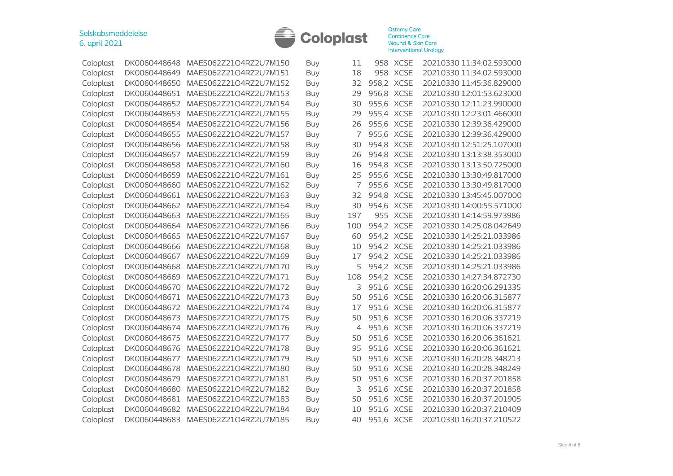

| Coloplast | DK0060448648 | MAES062Z21O4RZ2U7M150 | Buy        | 11             |            | 958 XCSE    | 20210330 11:34:02.593000 |
|-----------|--------------|-----------------------|------------|----------------|------------|-------------|--------------------------|
| Coloplast | DK0060448649 | MAES062Z21O4RZ2U7M151 | Buy        | 18             |            | 958 XCSE    | 20210330 11:34:02.593000 |
| Coloplast | DK0060448650 | MAES062Z21O4RZ2U7M152 | Buy        | 32             | 958,2 XCSE |             | 20210330 11:45:36.829000 |
| Coloplast | DK0060448651 | MAES062Z21O4RZ2U7M153 | Buy        | 29             | 956,8 XCSE |             | 20210330 12:01:53.623000 |
|           | DK0060448652 | MAES062Z21O4RZ2U7M154 |            | 30             | 955,6 XCSE |             | 20210330 12:11:23.990000 |
| Coloplast |              |                       | Buy        |                |            |             | 20210330 12:23:01.466000 |
| Coloplast | DK0060448653 | MAES062Z21O4RZ2U7M155 | Buy        | 29             | 955,4 XCSE |             |                          |
| Coloplast | DK0060448654 | MAES062Z21O4RZ2U7M156 | Buy        | 26             | 955,6      | <b>XCSE</b> | 20210330 12:39:36.429000 |
| Coloplast | DK0060448655 | MAES062Z21O4RZ2U7M157 | <b>Buy</b> | 7              | 955,6 XCSE |             | 20210330 12:39:36.429000 |
| Coloplast | DK0060448656 | MAES062Z21O4RZ2U7M158 | Buy        | 30             | 954,8      | <b>XCSE</b> | 20210330 12:51:25.107000 |
| Coloplast | DK0060448657 | MAES062Z21O4RZ2U7M159 | Buy        | 26             | 954,8      | <b>XCSE</b> | 20210330 13:13:38.353000 |
| Coloplast | DK0060448658 | MAES062Z21O4RZ2U7M160 | Buy        | 16             | 954,8      | <b>XCSE</b> | 20210330 13:13:50.725000 |
| Coloplast | DK0060448659 | MAES062Z21O4RZ2U7M161 | Buy        | 25             | 955,6      | <b>XCSE</b> | 20210330 13:30:49.817000 |
| Coloplast | DK0060448660 | MAES062Z21O4RZ2U7M162 | Buy        | 7              | 955,6      | <b>XCSE</b> | 20210330 13:30:49.817000 |
| Coloplast | DK0060448661 | MAES062Z21O4RZ2U7M163 | Buy        | 32             | 954,8      | <b>XCSE</b> | 20210330 13:45:45.007000 |
| Coloplast | DK0060448662 | MAES062Z21O4RZ2U7M164 | Buy        | 30             | 954,6      | <b>XCSE</b> | 20210330 14:00:55.571000 |
| Coloplast | DK0060448663 | MAES062Z21O4RZ2U7M165 | Buy        | 197            |            | 955 XCSE    | 20210330 14:14:59.973986 |
| Coloplast | DK0060448664 | MAES062Z21O4RZ2U7M166 | Buy        | 100            | 954,2      | <b>XCSE</b> | 20210330 14:25:08.042649 |
| Coloplast | DK0060448665 | MAES062Z21O4RZ2U7M167 | Buy        | 60             | 954,2 XCSE |             | 20210330 14:25:21.033986 |
| Coloplast | DK0060448666 | MAES062Z21O4RZ2U7M168 | Buy        | 10             | 954,2      | <b>XCSE</b> | 20210330 14:25:21.033986 |
| Coloplast | DK0060448667 | MAES062Z21O4RZ2U7M169 | Buy        | 17             | 954,2      | <b>XCSE</b> | 20210330 14:25:21.033986 |
| Coloplast | DK0060448668 | MAES062Z21O4RZ2U7M170 | <b>Buy</b> | 5              | 954,2      | <b>XCSE</b> | 20210330 14:25:21.033986 |
| Coloplast | DK0060448669 | MAES062Z21O4RZ2U7M171 | <b>Buy</b> | 108            | 954,2      | <b>XCSE</b> | 20210330 14:27:34.872730 |
| Coloplast | DK0060448670 | MAES062Z21O4RZ2U7M172 | Buy        | 3              | 951,6      | <b>XCSE</b> | 20210330 16:20:06.291335 |
| Coloplast | DK0060448671 | MAES062Z21O4RZ2U7M173 | Buy        | 50             | 951,6      | <b>XCSE</b> | 20210330 16:20:06.315877 |
| Coloplast | DK0060448672 | MAES062Z21O4RZ2U7M174 | <b>Buy</b> | 17             | 951,6      | <b>XCSE</b> | 20210330 16:20:06.315877 |
| Coloplast | DK0060448673 | MAES062Z21O4RZ2U7M175 | Buy        | 50             | 951,6      | <b>XCSE</b> | 20210330 16:20:06.337219 |
| Coloplast | DK0060448674 | MAES062Z21O4RZ2U7M176 | Buy        | $\overline{4}$ | 951,6 XCSE |             | 20210330 16:20:06.337219 |
| Coloplast | DK0060448675 | MAES062Z21O4RZ2U7M177 | Buy        | 50             | 951,6 XCSE |             | 20210330 16:20:06.361621 |
| Coloplast | DK0060448676 | MAES062Z21O4RZ2U7M178 | Buy        | 95             | 951,6 XCSE |             | 20210330 16:20:06.361621 |
| Coloplast | DK0060448677 | MAES062Z21O4RZ2U7M179 | Buy        | 50             | 951,6 XCSE |             | 20210330 16:20:28.348213 |
| Coloplast | DK0060448678 | MAES062Z21O4RZ2U7M180 | Buy        | 50             | 951,6 XCSE |             | 20210330 16:20:28.348249 |
| Coloplast | DK0060448679 | MAES062Z21O4RZ2U7M181 | Buy        | 50             | 951,6      | <b>XCSE</b> | 20210330 16:20:37.201858 |
| Coloplast | DK0060448680 | MAES062Z21O4RZ2U7M182 | Buy        | 3              | 951,6      | <b>XCSE</b> | 20210330 16:20:37.201858 |
| Coloplast | DK0060448681 | MAES062Z21O4RZ2U7M183 | <b>Buy</b> | 50             | 951,6      | <b>XCSE</b> | 20210330 16:20:37.201905 |
| Coloplast | DK0060448682 | MAES062Z21O4RZ2U7M184 | Buy        | 10             | 951,6      | <b>XCSE</b> | 20210330 16:20:37.210409 |
| Coloplast | DK0060448683 | MAES062Z21O4RZ2U7M185 | Buy        | 40             | 951,6 XCSE |             | 20210330 16:20:37.210522 |
|           |              |                       |            |                |            |             |                          |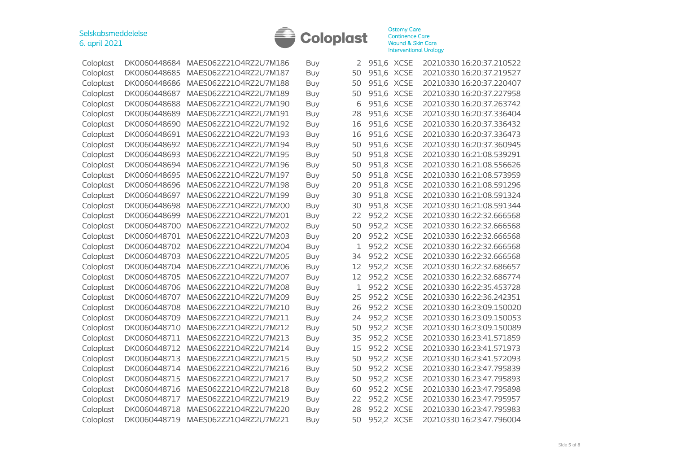

| Coloplast | DK0060448684 | MAES062Z21O4RZ2U7M186 | Buy        | 2  | 951,6 XCSE |             | 20210330 16:20:37.210522 |
|-----------|--------------|-----------------------|------------|----|------------|-------------|--------------------------|
| Coloplast | DK0060448685 | MAES062Z21O4RZ2U7M187 | Buy        | 50 | 951,6 XCSE |             | 20210330 16:20:37.219527 |
| Coloplast | DK0060448686 | MAES062Z21O4RZ2U7M188 | <b>Buy</b> | 50 | 951,6      | <b>XCSE</b> | 20210330 16:20:37.220407 |
| Coloplast | DK0060448687 | MAES062Z21O4RZ2U7M189 | Buy        | 50 | 951,6      | <b>XCSE</b> | 20210330 16:20:37.227958 |
| Coloplast | DK0060448688 | MAES062Z21O4RZ2U7M190 | Buy        | 6  | 951,6      | <b>XCSE</b> | 20210330 16:20:37.263742 |
| Coloplast | DK0060448689 | MAES062Z21O4RZ2U7M191 | Buy        | 28 | 951,6      | <b>XCSE</b> | 20210330 16:20:37.336404 |
| Coloplast | DK0060448690 | MAES062Z21O4RZ2U7M192 | Buy        | 16 | 951,6      | <b>XCSE</b> | 20210330 16:20:37.336432 |
| Coloplast | DK0060448691 | MAES062Z21O4RZ2U7M193 | Buy        | 16 | 951,6      | <b>XCSE</b> | 20210330 16:20:37.336473 |
| Coloplast | DK0060448692 | MAES062Z21O4RZ2U7M194 | Buy        | 50 | 951,6      | <b>XCSE</b> | 20210330 16:20:37.360945 |
| Coloplast | DK0060448693 | MAES062Z21O4RZ2U7M195 | Buy        | 50 | 951,8      | <b>XCSE</b> | 20210330 16:21:08.539291 |
| Coloplast | DK0060448694 | MAES062Z21O4RZ2U7M196 | Buy        | 50 | 951,8      | <b>XCSE</b> | 20210330 16:21:08.556626 |
| Coloplast | DK0060448695 | MAES062Z21O4RZ2U7M197 | Buy        | 50 | 951,8      | <b>XCSE</b> | 20210330 16:21:08.573959 |
| Coloplast | DK0060448696 | MAES062Z21O4RZ2U7M198 | Buy        | 20 | 951,8      | <b>XCSE</b> | 20210330 16:21:08.591296 |
| Coloplast | DK0060448697 | MAES062Z21O4RZ2U7M199 | Buy        | 30 | 951,8      | <b>XCSE</b> | 20210330 16:21:08.591324 |
| Coloplast | DK0060448698 | MAES062Z21O4RZ2U7M200 | Buy        | 30 | 951,8      | <b>XCSE</b> | 20210330 16:21:08.591344 |
| Coloplast | DK0060448699 | MAES062Z21O4RZ2U7M201 | Buy        | 22 | 952,2 XCSE |             | 20210330 16:22:32.666568 |
| Coloplast | DK0060448700 | MAES062Z21O4RZ2U7M202 | <b>Buy</b> | 50 | 952,2      | <b>XCSE</b> | 20210330 16:22:32.666568 |
| Coloplast | DK0060448701 | MAES062Z21O4RZ2U7M203 | Buy        | 20 | 952,2      | <b>XCSE</b> | 20210330 16:22:32.666568 |
| Coloplast | DK0060448702 | MAES062Z21O4RZ2U7M204 | Buy        | 1  | 952,2      | <b>XCSE</b> | 20210330 16:22:32.666568 |
| Coloplast | DK0060448703 | MAES062Z21O4RZ2U7M205 | <b>Buy</b> | 34 | 952,2      | <b>XCSE</b> | 20210330 16:22:32.666568 |
| Coloplast | DK0060448704 | MAES062Z21O4RZ2U7M206 | Buy        | 12 | 952,2      | <b>XCSE</b> | 20210330 16:22:32.686657 |
| Coloplast | DK0060448705 | MAES062Z21O4RZ2U7M207 | Buy        | 12 | 952,2      | <b>XCSE</b> | 20210330 16:22:32.686774 |
| Coloplast | DK0060448706 | MAES062Z21O4RZ2U7M208 | Buy        | 1  | 952,2      | <b>XCSE</b> | 20210330 16:22:35.453728 |
| Coloplast | DK0060448707 | MAES062Z21O4RZ2U7M209 | Buy        | 25 | 952,2      | <b>XCSE</b> | 20210330 16:22:36.242351 |
| Coloplast | DK0060448708 | MAES062Z21O4RZ2U7M210 | <b>Buy</b> | 26 | 952,2      | <b>XCSE</b> | 20210330 16:23:09.150020 |
| Coloplast | DK0060448709 | MAES062Z21O4RZ2U7M211 | Buy        | 24 | 952,2      | <b>XCSE</b> | 20210330 16:23:09.150053 |
| Coloplast | DK0060448710 | MAES062Z21O4RZ2U7M212 | Buy        | 50 | 952,2 XCSE |             | 20210330 16:23:09.150089 |
| Coloplast | DK0060448711 | MAES062Z21O4RZ2U7M213 | Buy        | 35 | 952,2 XCSE |             | 20210330 16:23:41.571859 |
| Coloplast | DK0060448712 | MAES062Z21O4RZ2U7M214 | Buy        | 15 | 952,2 XCSE |             | 20210330 16:23:41.571973 |
| Coloplast | DK0060448713 | MAES062Z21O4RZ2U7M215 | Buy        | 50 | 952,2 XCSE |             | 20210330 16:23:41.572093 |
| Coloplast | DK0060448714 | MAES062Z21O4RZ2U7M216 | Buy        | 50 | 952,2 XCSE |             | 20210330 16:23:47.795839 |
| Coloplast | DK0060448715 | MAES062Z21O4RZ2U7M217 | Buy        | 50 | 952,2      | <b>XCSE</b> | 20210330 16:23:47.795893 |
| Coloplast | DK0060448716 | MAES062Z21O4RZ2U7M218 | Buy        | 60 | 952,2      | <b>XCSE</b> | 20210330 16:23:47.795898 |
| Coloplast | DK0060448717 | MAES062Z21O4RZ2U7M219 | <b>Buy</b> | 22 | 952,2      | <b>XCSE</b> | 20210330 16:23:47.795957 |
| Coloplast | DK0060448718 | MAES062Z21O4RZ2U7M220 | Buy        | 28 | 952,2      | <b>XCSE</b> | 20210330 16:23:47.795983 |
| Coloplast | DK0060448719 | MAES062Z21O4RZ2U7M221 | Buy        | 50 | 952,2 XCSE |             | 20210330 16:23:47.796004 |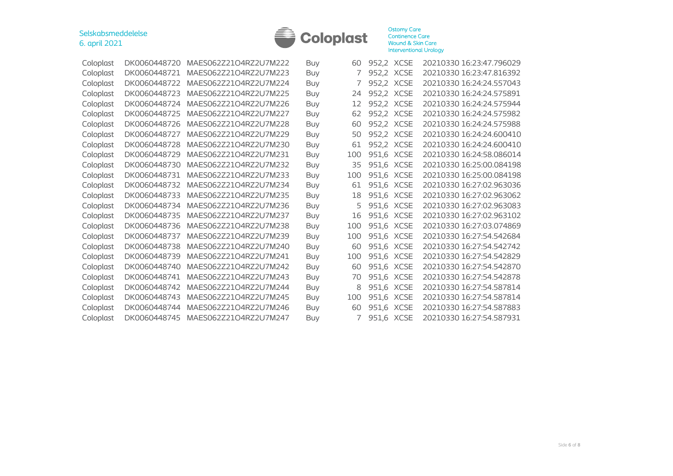

| Coloplast | DK0060448720 | MAES06272104R72U7M222 | Buy        | 60  | 952,2 XCSE |             | 20210330 16:23:47.796029 |
|-----------|--------------|-----------------------|------------|-----|------------|-------------|--------------------------|
| Coloplast | DK0060448721 | MAES062Z21O4RZ2U7M223 | Buy        |     | 952,2 XCSE |             | 20210330 16:23:47.816392 |
| Coloplast | DK0060448722 | MAES062Z21O4RZ2U7M224 | Buy        |     | 952,2 XCSE |             | 20210330 16:24:24.557043 |
| Coloplast | DK0060448723 | MAES062Z21O4RZ2U7M225 | Buy        | 24  | 952,2 XCSE |             | 20210330 16:24:24.575891 |
| Coloplast | DK0060448724 | MAES062Z21O4RZ2U7M226 | Buy        | 12  | 952.2 XCSE |             | 20210330 16:24:24.575944 |
| Coloplast | DK0060448725 | MAES062Z21O4RZ2U7M227 | <b>Buy</b> | 62  | 952,2 XCSE |             | 20210330 16:24:24.575982 |
| Coloplast | DK0060448726 | MAES062Z21O4RZ2U7M228 | Buy        | 60  | 952,2 XCSE |             | 20210330 16:24:24.575988 |
| Coloplast | DK0060448727 | MAES062Z21O4RZ2U7M229 | <b>Buy</b> | 50  | 952,2 XCSE |             | 20210330 16:24:24.600410 |
| Coloplast | DK0060448728 | MAES062Z21O4RZ2U7M230 | <b>Buy</b> | 61  | 952,2 XCSE |             | 20210330 16:24:24.600410 |
| Coloplast | DK0060448729 | MAES062Z21O4RZ2U7M231 | <b>Buy</b> | 100 | 951.6 XCSE |             | 20210330 16:24:58.086014 |
| Coloplast | DK0060448730 | MAES062Z21O4RZ2U7M232 | Buy        | 35  | 951,6 XCSE |             | 20210330 16:25:00.084198 |
| Coloplast | DK0060448731 | MAES062Z21O4RZ2U7M233 | Buy        | 100 | 951,6 XCSE |             | 20210330 16:25:00.084198 |
| Coloplast | DK0060448732 | MAES062Z21O4RZ2U7M234 | Buy        | 61  | 951,6 XCSE |             | 20210330 16:27:02.963036 |
| Coloplast | DK0060448733 | MAES062Z21O4RZ2U7M235 | Buy        | 18  | 951,6 XCSE |             | 20210330 16:27:02.963062 |
| Coloplast | DK0060448734 | MAES062Z21O4RZ2U7M236 | <b>Buy</b> | 5   | 951,6 XCSE |             | 20210330 16:27:02.963083 |
| Coloplast | DK0060448735 | MAES062Z21O4RZ2U7M237 | Buy        | 16  | 951,6 XCSE |             | 20210330 16:27:02.963102 |
| Coloplast | DK0060448736 | MAES062Z21O4RZ2U7M238 | Buy        | 100 | 951,6      | <b>XCSE</b> | 20210330 16:27:03.074869 |
| Coloplast | DK0060448737 | MAES062Z21O4RZ2U7M239 | Buy        | 100 | 951,6 XCSE |             | 20210330 16:27:54.542684 |
| Coloplast | DK0060448738 | MAES062Z21O4RZ2U7M240 | Buy        | 60  | 951,6 XCSE |             | 20210330 16:27:54.542742 |
| Coloplast | DK0060448739 | MAES062Z21O4RZ2U7M241 | Buy        | 100 | 951,6 XCSE |             | 20210330 16:27:54.542829 |
| Coloplast | DK0060448740 | MAES062Z21O4RZ2U7M242 | <b>Buv</b> | 60  | 951,6 XCSE |             | 20210330 16:27:54.542870 |
| Coloplast | DK0060448741 | MAES062Z21O4RZ2U7M243 | <b>Buy</b> | 70  | 951,6      | XCSE        | 20210330 16:27:54.542878 |
| Coloplast | DK0060448742 | MAES062Z21O4RZ2U7M244 | Buy        | 8   | 951,6 XCSE |             | 20210330 16:27:54.587814 |
| Coloplast | DK0060448743 | MAES062Z21O4RZ2U7M245 | <b>Buy</b> | 100 | 951,6      | XCSE        | 20210330 16:27:54.587814 |
| Coloplast | DK0060448744 | MAES062Z21O4RZ2U7M246 | <b>Buy</b> | 60  | 951.6      | <b>XCSE</b> | 20210330 16:27:54.587883 |
| Coloplast | DK0060448745 | MAES062Z21O4RZ2U7M247 | <b>Buy</b> |     | 951,6 XCSE |             | 20210330 16:27:54.587931 |
|           |              |                       |            |     |            |             |                          |

| 60  | 952,2 | <b>XCSE</b> | 20210330 16:23:47.796029 |
|-----|-------|-------------|--------------------------|
| 7   | 952,2 | <b>XCSE</b> | 20210330 16:23:47.816392 |
| 7   | 952,2 | <b>XCSE</b> | 20210330 16:24:24.557043 |
| 24  | 952,2 | <b>XCSE</b> | 20210330 16:24:24.575891 |
| 12  | 952,2 | <b>XCSE</b> | 20210330 16:24:24.575944 |
| 62  | 952,2 | <b>XCSE</b> | 20210330 16:24:24.575982 |
| 60  | 952,2 | <b>XCSE</b> | 20210330 16:24:24.575988 |
| 50  | 952,2 | <b>XCSE</b> | 20210330 16:24:24.600410 |
| 61  | 952,2 | <b>XCSE</b> | 20210330 16:24:24.600410 |
| 100 | 951,6 | <b>XCSE</b> | 20210330 16:24:58.086014 |
| 35  | 951,6 | <b>XCSE</b> | 20210330 16:25:00.084198 |
| 100 | 951,6 | <b>XCSE</b> | 20210330 16:25:00.084198 |
| 61  | 951,6 | <b>XCSE</b> | 20210330 16:27:02.963036 |
| 18  | 951,6 | <b>XCSE</b> | 20210330 16:27:02.963062 |
| 5   | 951,6 | <b>XCSE</b> | 20210330 16:27:02.963083 |
| 16  | 951,6 | <b>XCSE</b> | 20210330 16:27:02.963102 |
| 100 | 951,6 | <b>XCSE</b> | 20210330 16:27:03.074869 |
| 100 | 951,6 | <b>XCSE</b> | 20210330 16:27:54.542684 |
| 60  | 951,6 | <b>XCSE</b> | 20210330 16:27:54.542742 |
| 100 | 951,6 | <b>XCSE</b> | 20210330 16:27:54.542829 |
| 60  | 951,6 | <b>XCSE</b> | 20210330 16:27:54.542870 |
| 70  | 951,6 | <b>XCSE</b> | 20210330 16:27:54.542878 |
| 8   | 951,6 | <b>XCSE</b> | 20210330 16:27:54.587814 |
| 100 | 951,6 | <b>XCSE</b> | 20210330 16:27:54.587814 |
| 60  | 951,6 | <b>XCSE</b> | 20210330 16:27:54.587883 |
| 7   | 951,6 | <b>XCSE</b> | 20210330 16:27:54.587931 |
|     |       |             |                          |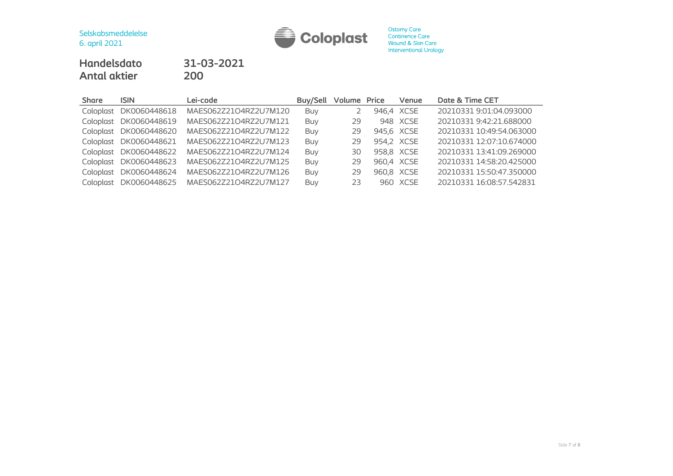

# **Handelsdato 31-03-2021 Antal aktier**

| <b>Share</b> | <b>ISIN</b>            | Lei-code              | Buy/Sell   | <b>Volume Price</b> | Venue      | Date & Time CET          |
|--------------|------------------------|-----------------------|------------|---------------------|------------|--------------------------|
|              | Coloplast DK0060448618 | MAES062Z21O4RZ2U7M120 | Buv        |                     | 946.4 XCSE | 20210331 9:01:04.093000  |
|              | Coloplast DK0060448619 | MAES062Z21O4RZ2U7M121 | <b>Buy</b> | 29                  | 948 XCSE   | 20210331 9:42:21.688000  |
|              | Coloplast DK0060448620 | MAES062Z21O4RZ2U7M122 | Buy        | 29                  | 945,6 XCSE | 20210331 10:49:54.063000 |
|              | Coloplast DK0060448621 | MAES062Z21O4RZ2U7M123 | Buy        | 29                  | 954,2 XCSE | 20210331 12:07:10.674000 |
|              | Coloplast DK0060448622 | MAES062Z21O4RZ2U7M124 | Buy        | 30                  | 958,8 XCSE | 20210331 13:41:09.269000 |
|              | Coloplast DK0060448623 | MAES062Z21O4RZ2U7M125 | Buy        | 29                  | 960,4 XCSE | 20210331 14:58:20.425000 |
|              | Coloplast DK0060448624 | MAES062Z21O4RZ2U7M126 | Buy        | 29                  | 960,8 XCSE | 20210331 15:50:47.350000 |
|              | Coloplast DK0060448625 | MAES062Z21O4RZ2U7M127 | Buy        | 23                  | 960 XCSE   | 20210331 16:08:57.542831 |